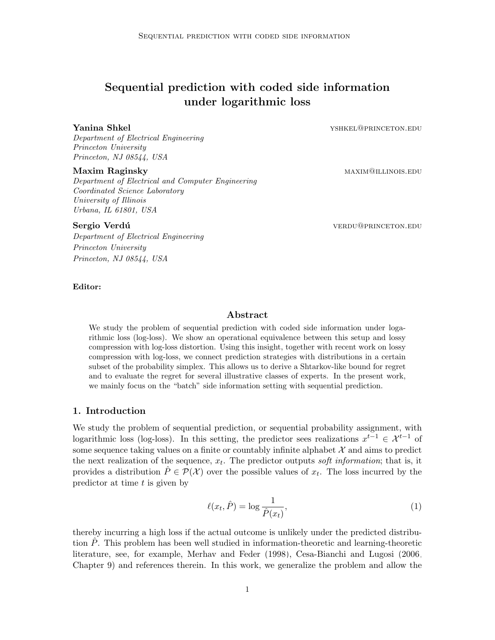# Sequential prediction with coded side information under logarithmic loss

**Yanina Shkel** yshkel yshkel yshkel@princeton.edu

Department of Electrical Engineering Princeton University Princeton, NJ 08544, USA

#### Maxim Raginsky maximal maximal maximal maximal maximal maximal maximal maximal maximal maximal maximal maximal m

Department of Electrical and Computer Engineering Coordinated Science Laboratory University of Illinois Urbana, IL 61801, USA

Department of Electrical Engineering Princeton University Princeton, NJ 08544, USA

Sergio Verdú verdíu verdíu verdíu verdíu verdíu verdíu verdíu verdíu verdíu verdíu verdíu verdíu verdíu verdíu

#### Editor:

## Abstract

We study the problem of sequential prediction with coded side information under logarithmic loss (log-loss). We show an operational equivalence between this setup and lossy compression with log-loss distortion. Using this insight, together with recent work on lossy compression with log-loss, we connect prediction strategies with distributions in a certain subset of the probability simplex. This allows us to derive a Shtarkov-like bound for regret and to evaluate the regret for several illustrative classes of experts. In the present work, we mainly focus on the "batch" side information setting with sequential prediction.

## <span id="page-0-0"></span>1. Introduction

We study the problem of sequential prediction, or sequential probability assignment, with logarithmic loss (log-loss). In this setting, the predictor sees realizations  $x^{t-1} \in \mathcal{X}^{t-1}$  of some sequence taking values on a finite or countably infinite alphabet  $\mathcal X$  and aims to predict the next realization of the sequence,  $x_t$ . The predictor outputs soft information; that is, it provides a distribution  $\hat{P} \in \mathcal{P}(\mathcal{X})$  over the possible values of  $x_t$ . The loss incurred by the predictor at time  $t$  is given by

$$
\ell(x_t, \hat{P}) = \log \frac{1}{\hat{P}(x_t)},\tag{1}
$$

thereby incurring a high loss if the actual outcome is unlikely under the predicted distribution  $P$ . This problem has been well studied in information-theoretic and learning-theoretic literature, see, for example, [Merhav and Feder](#page-16-0) [\(1998\)](#page-16-0), [Cesa-Bianchi and Lugosi](#page-15-0) [\(2006,](#page-15-0) Chapter 9) and references therein. In this work, we generalize the problem and allow the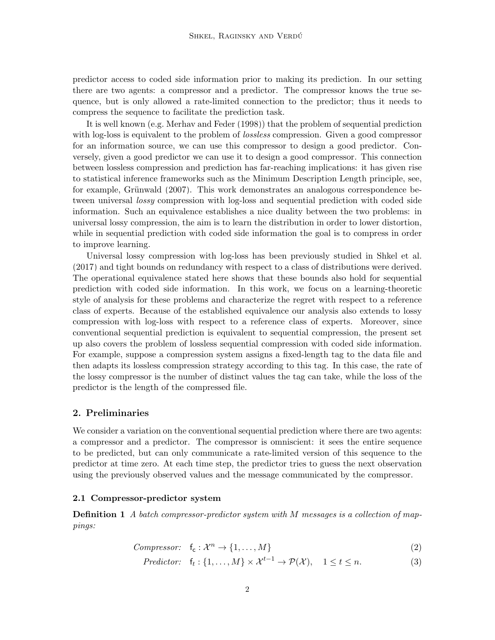predictor access to coded side information prior to making its prediction. In our setting there are two agents: a compressor and a predictor. The compressor knows the true sequence, but is only allowed a rate-limited connection to the predictor; thus it needs to compress the sequence to facilitate the prediction task.

It is well known (e.g. [Merhav and Feder](#page-16-0) [\(1998\)](#page-16-0)) that the problem of sequential prediction with log-loss is equivalent to the problem of *lossless* compression. Given a good compressor for an information source, we can use this compressor to design a good predictor. Conversely, given a good predictor we can use it to design a good compressor. This connection between lossless compression and prediction has far-reaching implications: it has given rise to statistical inference frameworks such as the Minimum Description Length principle, see, for example, Grünwald [\(2007\)](#page-16-1). This work demonstrates an analogous correspondence between universal *lossy* compression with log-loss and sequential prediction with coded side information. Such an equivalence establishes a nice duality between the two problems: in universal lossy compression, the aim is to learn the distribution in order to lower distortion, while in sequential prediction with coded side information the goal is to compress in order to improve learning.

Universal lossy compression with log-loss has been previously studied in [Shkel et al.](#page-16-2) [\(2017\)](#page-16-2) and tight bounds on redundancy with respect to a class of distributions were derived. The operational equivalence stated here shows that these bounds also hold for sequential prediction with coded side information. In this work, we focus on a learning-theoretic style of analysis for these problems and characterize the regret with respect to a reference class of experts. Because of the established equivalence our analysis also extends to lossy compression with log-loss with respect to a reference class of experts. Moreover, since conventional sequential prediction is equivalent to sequential compression, the present set up also covers the problem of lossless sequential compression with coded side information. For example, suppose a compression system assigns a fixed-length tag to the data file and then adapts its lossless compression strategy according to this tag. In this case, the rate of the lossy compressor is the number of distinct values the tag can take, while the loss of the predictor is the length of the compressed file.

### <span id="page-1-1"></span>2. Preliminaries

We consider a variation on the conventional sequential prediction where there are two agents: a compressor and a predictor. The compressor is omniscient: it sees the entire sequence to be predicted, but can only communicate a rate-limited version of this sequence to the predictor at time zero. At each time step, the predictor tries to guess the next observation using the previously observed values and the message communicated by the compressor.

#### 2.1 Compressor-predictor system

<span id="page-1-0"></span>**Definition 1** A batch compressor-predictor system with M messages is a collection of mappings:

*Compresor:* 
$$
f_c: \mathcal{X}^n \to \{1, ..., M\}
$$
 (2)

$$
Predictor: \quad f_t: \{1, \ldots, M\} \times \mathcal{X}^{t-1} \to \mathcal{P}(\mathcal{X}), \quad 1 \le t \le n. \tag{3}
$$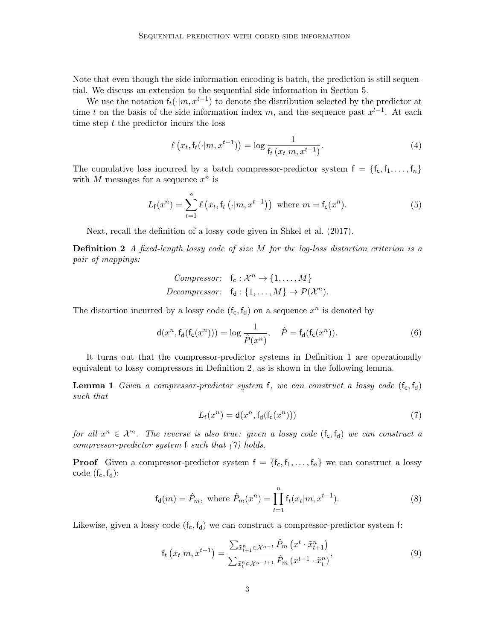Note that even though the side information encoding is batch, the prediction is still sequential. We discuss an extension to the sequential side information in Section [5.](#page-11-0)

We use the notation  $f_t(\cdot|m, x^{t-1})$  to denote the distribution selected by the predictor at time t on the basis of the side information index m, and the sequence past  $x^{t-1}$ . At each time step  $t$  the predictor incurs the loss

$$
\ell\left(x_t, \mathsf{f}_t(\cdot|m, x^{t-1})\right) = \log \frac{1}{\mathsf{f}_t\left(x_t|m, x^{t-1}\right)}.\tag{4}
$$

The cumulative loss incurred by a batch compressor-predictor system  $f = \{f_c, f_1, \ldots, f_n\}$ with M messages for a sequence  $x^n$  is

$$
L_{\mathsf{f}}(x^n) = \sum_{t=1}^n \ell\left(x_t, \mathsf{f}_t\left(\cdot | m, x^{t-1}\right)\right) \text{ where } m = \mathsf{f}_\mathsf{c}(x^n). \tag{5}
$$

Next, recall the definition of a lossy code given in [Shkel et al.](#page-16-2) [\(2017\)](#page-16-2).

**Definition 2** A fixed-length lossy code of size  $M$  for the log-loss distortion criterion is a pair of mappings:

<span id="page-2-0"></span>*Compresor:* 
$$
f_c : \mathcal{X}^n \to \{1, ..., M\}
$$
  
*Decompresor:*  $f_d : \{1, ..., M\} \to \mathcal{P}(\mathcal{X}^n)$ .

The distortion incurred by a lossy code  $(f_c, f_d)$  on a sequence  $x^n$  is denoted by

$$
\mathsf{d}(x^n, \mathsf{f}_{\mathsf{d}}(\mathsf{f}_{\mathsf{c}}(x^n))) = \log \frac{1}{\hat{P}(x^n)}, \quad \hat{P} = \mathsf{f}_{\mathsf{d}}(\mathsf{f}_{\mathsf{c}}(x^n)).\tag{6}
$$

It turns out that the compressor-predictor systems in Definition [1](#page-1-0) are operationally equivalent to lossy compressors in Definition [2,](#page-2-0) as is shown in the following lemma.

**Lemma 1** Given a compressor-predictor system f, we can construct a lossy code  $(f_c, f_d)$ such that

<span id="page-2-2"></span><span id="page-2-1"></span>
$$
L_{\mathsf{f}}(x^n) = \mathsf{d}(x^n, \mathsf{f}_{\mathsf{d}}(\mathsf{f}_{\mathsf{c}}(x^n)))\tag{7}
$$

for all  $x^n \in \mathcal{X}^n$ . The reverse is also true: given a lossy code  $(f_c, f_d)$  we can construct a compressor-predictor system f such that [\(7\)](#page-2-1) holds.

**Proof** Given a compressor-predictor system  $f = \{f_c, f_1, \ldots, f_n\}$  we can construct a lossy code  $(f_c, f_d)$ :

$$
f_d(m) = \hat{P}_m
$$
, where  $\hat{P}_m(x^n) = \prod_{t=1}^n f_t(x_t|m, x^{t-1})$ . (8)

Likewise, given a lossy code  $(f_c, f_d)$  we can construct a compressor-predictor system f:

$$
f_t\left(x_t|m, x^{t-1}\right) = \frac{\sum_{\tilde{x}_{t+1}^n \in \mathcal{X}^{n-t}} \hat{P}_m\left(x^t \cdot \tilde{x}_{t+1}^n\right)}{\sum_{\tilde{x}_t^n \in \mathcal{X}^{n-t+1}} \hat{P}_m\left(x^{t-1} \cdot \tilde{x}_t^n\right)},\tag{9}
$$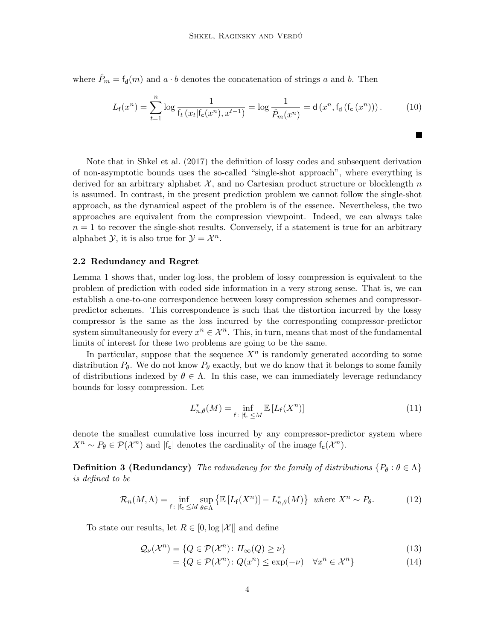where  $\hat{P}_m = \mathsf{f}_d(m)$  and  $a \cdot b$  denotes the concatenation of strings a and b. Then

$$
L_{\mathsf{f}}(x^n) = \sum_{t=1}^n \log \frac{1}{\mathsf{f}_t\left(x_t | \mathsf{f}_{\mathsf{c}}(x^n), x^{t-1}\right)} = \log \frac{1}{\hat{P}_m(x^n)} = \mathsf{d}\left(x^n, \mathsf{f}_{\mathsf{d}}\left(\mathsf{f}_{\mathsf{c}}\left(x^n\right)\right)\right). \tag{10}
$$

ш

Note that in [Shkel et al.](#page-16-2) [\(2017\)](#page-16-2) the definition of lossy codes and subsequent derivation of non-asymptotic bounds uses the so-called "single-shot approach", where everything is derived for an arbitrary alphabet  $\mathcal{X}$ , and no Cartesian product structure or blocklength n is assumed. In contrast, in the present prediction problem we cannot follow the single-shot approach, as the dynamical aspect of the problem is of the essence. Nevertheless, the two approaches are equivalent from the compression viewpoint. Indeed, we can always take  $n = 1$  to recover the single-shot results. Conversely, if a statement is true for an arbitrary alphabet  $\mathcal{Y}$ , it is also true for  $\mathcal{Y} = \mathcal{X}^n$ .

#### 2.2 Redundancy and Regret

Lemma [1](#page-2-2) shows that, under log-loss, the problem of lossy compression is equivalent to the problem of prediction with coded side information in a very strong sense. That is, we can establish a one-to-one correspondence between lossy compression schemes and compressorpredictor schemes. This correspondence is such that the distortion incurred by the lossy compressor is the same as the loss incurred by the corresponding compressor-predictor system simultaneously for every  $x^n \in \mathcal{X}^n$ . This, in turn, means that most of the fundamental limits of interest for these two problems are going to be the same.

In particular, suppose that the sequence  $X<sup>n</sup>$  is randomly generated according to some distribution  $P_{\theta}$ . We do not know  $P_{\theta}$  exactly, but we do know that it belongs to some family of distributions indexed by  $\theta \in \Lambda$ . In this case, we can immediately leverage redundancy bounds for lossy compression. Let

$$
L_{n,\theta}^*(M) = \inf_{\mathsf{f}: \, |\mathsf{f}_{\mathsf{c}}| \le M} \mathbb{E}\left[L_{\mathsf{f}}(X^n)\right] \tag{11}
$$

denote the smallest cumulative loss incurred by any compressor-predictor system where  $X^n \sim P_\theta \in \mathcal{P}(\mathcal{X}^n)$  and  $|f_c|$  denotes the cardinality of the image  $f_c(\mathcal{X}^n)$ .

**Definition 3 (Redundancy)** The redundancy for the family of distributions  $\{P_\theta : \theta \in \Lambda\}$ is defined to be

$$
\mathcal{R}_n(M,\Lambda) = \inf_{\mathsf{f}: \, |\mathsf{f}_\mathsf{c}| \le M} \sup_{\theta \in \Lambda} \left\{ \mathbb{E} \left[ L_\mathsf{f}(X^n) \right] - L_{n,\theta}^*(M) \right\} \text{ where } X^n \sim P_\theta. \tag{12}
$$

To state our results, let  $R \in [0, \log |\mathcal{X}|]$  and define

$$
\mathcal{Q}_{\nu}(\mathcal{X}^n) = \{ Q \in \mathcal{P}(\mathcal{X}^n) \colon H_{\infty}(Q) \ge \nu \}
$$
\n(13)

<span id="page-3-0"></span>
$$
= \{ Q \in \mathcal{P}(\mathcal{X}^n) \colon Q(x^n) \le \exp(-\nu) \quad \forall x^n \in \mathcal{X}^n \}
$$
\n
$$
(14)
$$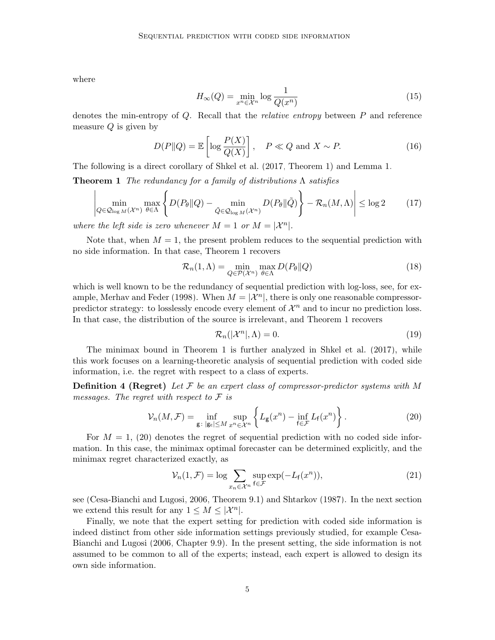where

<span id="page-4-0"></span>
$$
H_{\infty}(Q) = \min_{x^n \in \mathcal{X}^n} \log \frac{1}{Q(x^n)}
$$
\n(15)

denotes the min-entropy of  $Q$ . Recall that the *relative entropy* between  $P$  and reference measure  $Q$  is given by

$$
D(P||Q) = \mathbb{E}\left[\log \frac{P(X)}{Q(X)}\right], \quad P \ll Q \text{ and } X \sim P. \tag{16}
$$

The following is a direct corollary of [Shkel et al.](#page-16-2) [\(2017,](#page-16-2) Theorem 1) and Lemma [1.](#page-2-2)

**Theorem 1** The redundancy for a family of distributions  $\Lambda$  satisfies

$$
\left| \min_{Q \in \mathcal{Q}_{\log M}(\mathcal{X}^n)} \max_{\theta \in \Lambda} \left\{ D(P_{\theta} \| Q) - \min_{\tilde{Q} \in \mathcal{Q}_{\log M}(\mathcal{X}^n)} D(P_{\theta} \| \tilde{Q}) \right\} - \mathcal{R}_n(M, \Lambda) \right| \le \log 2 \tag{17}
$$

where the left side is zero whenever  $M = 1$  or  $M = |\mathcal{X}^n|$ .

Note that, when  $M = 1$ , the present problem reduces to the sequential prediction with no side information. In that case, Theorem [1](#page-4-0) recovers

$$
\mathcal{R}_n(1,\Lambda) = \min_{Q \in \mathcal{P}(\mathcal{X}^n)} \max_{\theta \in \Lambda} D(P_{\theta} \| Q)
$$
(18)

which is well known to be the redundancy of sequential prediction with log-loss, see, for ex-ample, [Merhav and Feder](#page-16-0) [\(1998\)](#page-16-0). When  $M = |\mathcal{X}^n|$ , there is only one reasonable compressorpredictor strategy: to losslessly encode every element of  $\mathcal{X}^n$  and to incur no prediction loss. In that case, the distribution of the source is irrelevant, and Theorem [1](#page-4-0) recovers

<span id="page-4-3"></span><span id="page-4-2"></span><span id="page-4-1"></span>
$$
\mathcal{R}_n(|\mathcal{X}^n|,\Lambda) = 0. \tag{19}
$$

The minimax bound in Theorem [1](#page-4-0) is further analyzed in [Shkel et al.](#page-16-2) [\(2017\)](#page-16-2), while this work focuses on a learning-theoretic analysis of sequential prediction with coded side information, i.e. the regret with respect to a class of experts.

**Definition 4 (Regret)** Let  $\mathcal F$  be an expert class of compressor-predictor systems with M messages. The regret with respect to  $\mathcal F$  is

$$
\mathcal{V}_n(M,\mathcal{F}) = \inf_{\mathbf{g} \colon |\mathbf{g}_c| \le M} \sup_{x^n \in \mathcal{X}^n} \left\{ L_\mathbf{g}(x^n) - \inf_{\mathbf{f} \in \mathcal{F}} L_\mathbf{f}(x^n) \right\}.
$$
 (20)

For  $M = 1$ , [\(20\)](#page-4-1) denotes the regret of sequential prediction with no coded side information. In this case, the minimax optimal forecaster can be determined explicitly, and the minimax regret characterized exactly, as

$$
\mathcal{V}_n(1,\mathcal{F}) = \log \sum_{x_n \in \mathcal{X}^n} \sup_{\mathbf{f} \in \mathcal{F}} \exp(-L_{\mathbf{f}}(x^n)),\tag{21}
$$

see [\(Cesa-Bianchi and Lugosi, 2006,](#page-15-0) Theorem 9.1) and [Shtarkov](#page-16-3) [\(1987\)](#page-16-3). In the next section we extend this result for any  $1 \leq M \leq |\mathcal{X}^n|$ .

Finally, we note that the expert setting for prediction with coded side information is indeed distinct from other side information settings previously studied, for example [Cesa-](#page-15-0)[Bianchi and Lugosi](#page-15-0) [\(2006,](#page-15-0) Chapter 9.9). In the present setting, the side information is not assumed to be common to all of the experts; instead, each expert is allowed to design its own side information.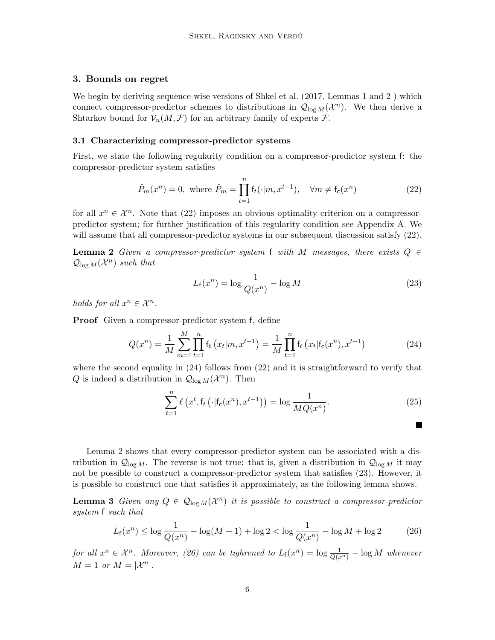## <span id="page-5-6"></span>3. Bounds on regret

We begin by deriving sequence-wise versions of [Shkel et al.](#page-16-2) [\(2017,](#page-16-2) Lemmas 1 and 2) which connect compressor-predictor schemes to distributions in  $\mathcal{Q}_{\log M}(\mathcal{X}^n)$ . We then derive a Shtarkov bound for  $\mathcal{V}_n(M,\mathcal{F})$  for an arbitrary family of experts  $\mathcal{F}$ .

#### 3.1 Characterizing compressor-predictor systems

First, we state the following regularity condition on a compressor-predictor system f: the compressor-predictor system satisfies

$$
\hat{P}_m(x^n) = 0, \text{ where } \hat{P}_m = \prod_{t=1}^n \mathsf{f}_t(\cdot|m, x^{t-1}), \quad \forall m \neq \mathsf{f}_\mathsf{c}(x^n) \tag{22}
$$

for all  $x^n \in \mathcal{X}^n$ . Note that [\(22\)](#page-5-0) imposes an obvious optimality criterion on a compressorpredictor system; for further justification of this regularity condition see Appendix [A.](#page-0-0) We will assume that all compressor-predictor systems in our subsequent discussion satisfy  $(22)$ .

<span id="page-5-2"></span>**Lemma 2** Given a compressor-predictor system f with M messages, there exists  $Q \in$  $\mathcal{Q}_{\log M}(\mathcal{X}^n)$  such that

<span id="page-5-0"></span>
$$
L_f(x^n) = \log \frac{1}{Q(x^n)} - \log M \tag{23}
$$

holds for all  $x^n \in \mathcal{X}^n$ .

Proof Given a compressor-predictor system f, define

$$
Q(x^n) = \frac{1}{M} \sum_{m=1}^{M} \prod_{t=1}^{n} f_t(x_t|m, x^{t-1}) = \frac{1}{M} \prod_{t=1}^{n} f_t(x_t|f_c(x^n), x^{t-1})
$$
(24)

where the second equality in  $(24)$  follows from  $(22)$  and it is straightforward to verify that Q is indeed a distribution in  $\mathcal{Q}_{\log M}(\mathcal{X}^n)$ . Then

$$
\sum_{t=1}^{n} \ell\left(x^{t}, \mathsf{f}_{t}\left(\cdot | \mathsf{f}_{\mathsf{c}}(x^{n}), x^{t-1}\right)\right) = \log \frac{1}{MQ(x^{n})}.\tag{25}
$$

<span id="page-5-4"></span><span id="page-5-3"></span><span id="page-5-1"></span> $\blacksquare$ 

Lemma [2](#page-5-2) shows that every compressor-predictor system can be associated with a distribution in  $\mathcal{Q}_{\log M}$ . The reverse is not true: that is, given a distribution in  $\mathcal{Q}_{\log M}$  it may not be possible to construct a compressor-predictor system that satisfies [\(23\)](#page-5-3). However, it is possible to construct one that satisfies it approximately, as the following lemma shows.

<span id="page-5-5"></span>**Lemma 3** Given any  $Q \in \mathcal{Q}_{\log M}(\mathcal{X}^n)$  it is possible to construct a compressor-predictor system f such that

$$
L_{\mathsf{f}}(x^n) \le \log \frac{1}{Q(x^n)} - \log(M+1) + \log 2 < \log \frac{1}{Q(x^n)} - \log M + \log 2 \tag{26}
$$

for all  $x^n \in \mathcal{X}^n$ . Moreover, [\(26\)](#page-5-4) can be tighrened to  $L_f(x^n) = \log \frac{1}{Q(x^n)} - \log M$  whenever  $M = 1$  or  $M = |\mathcal{X}^n|$ .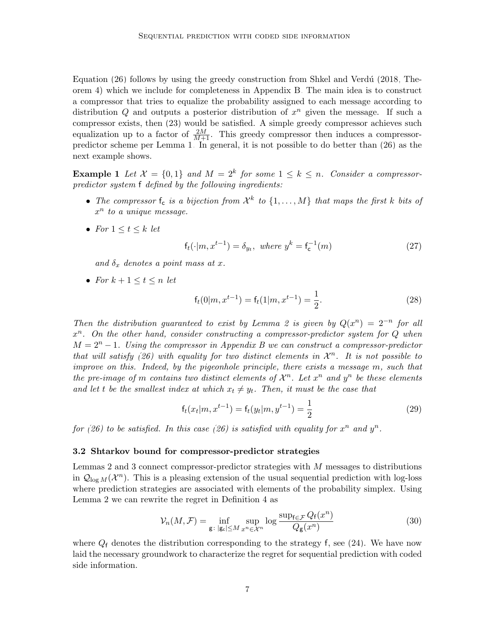Equation  $(26)$  follows by using the greedy construction from Shkel and Verdú  $(2018,$  Theorem 4) which we include for completeness in Appendix [B.](#page-1-1) The main idea is to construct a compressor that tries to equalize the probability assigned to each message according to distribution  $Q$  and outputs a posterior distribution of  $x^n$  given the message. If such a compressor exists, then [\(23\)](#page-5-3) would be satisfied. A simple greedy compressor achieves such equalization up to a factor of  $\frac{2M}{M+1}$ . This greedy compressor then induces a compressorpredictor scheme per Lemma [1.](#page-2-2) In general, it is not possible to do better than [\(26\)](#page-5-4) as the next example shows.

**Example 1** Let  $\mathcal{X} = \{0,1\}$  and  $M = 2^k$  for some  $1 \leq k \leq n$ . Consider a compressorpredictor system f defined by the following ingredients:

- The compressor  $f_c$  is a bijection from  $\mathcal{X}^k$  to  $\{1,\ldots,M\}$  that maps the first k bits of  $x^n$  to a unique message.
- For  $1 \leq t \leq k$  let

$$
f_t(\cdot|m, x^{t-1}) = \delta_{y_t}, \text{ where } y^k = f_c^{-1}(m)
$$
 (27)

and  $\delta_x$  denotes a point mass at x.

• For  $k+1 \leq t \leq n$  let

$$
f_t(0|m, x^{t-1}) = f_t(1|m, x^{t-1}) = \frac{1}{2}.
$$
\n(28)

Then the distribution guaranteed to exist by Lemma [2](#page-5-2) is given by  $Q(x^n) = 2^{-n}$  for all  $x^n$ . On the other hand, consider constructing a compressor-predictor system for Q when  $M = 2<sup>n</sup> - 1$ . Using the compressor in Appendix [B](#page-1-1) we can construct a compressor-predictor that will satisfy [\(26\)](#page-5-4) with equality for two distinct elements in  $\mathcal{X}^n$ . It is not possible to improve on this. Indeed, by the pigeonhole principle, there exists a message m, such that the pre-image of m contains two distinct elements of  $\mathcal{X}^n$ . Let  $x^n$  and  $y^n$  be these elements and let t be the smallest index at which  $x_t \neq y_t$ . Then, it must be the case that

$$
f_t(x_t|m, x^{t-1}) = f_t(y_t|m, y^{t-1}) = \frac{1}{2}
$$
\n(29)

for [\(26\)](#page-5-4) to be satisfied. In this case (26) is satisfied with equality for  $x^n$  and  $y^n$ .

#### 3.2 Shtarkov bound for compressor-predictor strategies

Lemmas [2](#page-5-2) and [3](#page-5-5) connect compressor-predictor strategies with  $M$  messages to distributions in  $\mathcal{Q}_{\log M}(\mathcal{X}^n)$ . This is a pleasing extension of the usual sequential prediction with log-loss where prediction strategies are associated with elements of the probability simplex. Using Lemma [2](#page-5-2) we can rewrite the regret in Definition [4](#page-4-2) as

<span id="page-6-0"></span>
$$
\mathcal{V}_n(M,\mathcal{F}) = \inf_{\mathbf{g} \colon |\mathbf{g}_c| \le M} \sup_{x^n \in \mathcal{X}^n} \log \frac{\sup_{\mathbf{f} \in \mathcal{F}} Q_\mathbf{f}(x^n)}{Q_\mathbf{g}(x^n)} \tag{30}
$$

where  $Q_f$  denotes the distribution corresponding to the strategy f, see [\(24\)](#page-5-1). We have now laid the necessary groundwork to characterize the regret for sequential prediction with coded side information.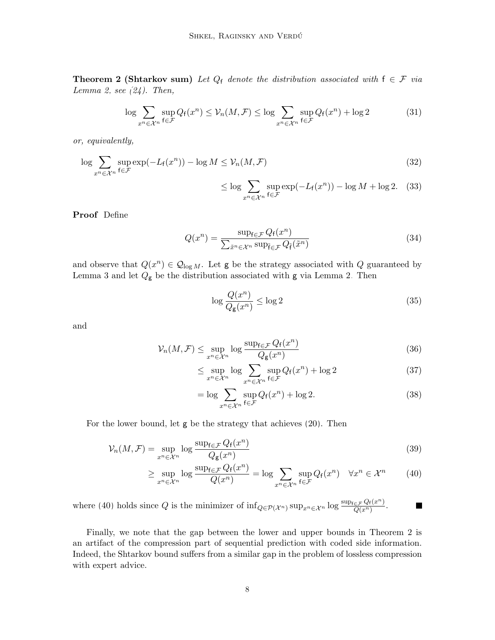**Theorem 2 (Shtarkov sum)** Let  $Q_f$  denote the distribution associated with  $f \in \mathcal{F}$  via Lemma [2,](#page-5-2) see  $(24)$ . Then,

$$
\log \sum_{x^n \in \mathcal{X}^n} \sup_{f \in \mathcal{F}} Q_f(x^n) \le \mathcal{V}_n(M, \mathcal{F}) \le \log \sum_{x^n \in \mathcal{X}^n} \sup_{f \in \mathcal{F}} Q_f(x^n) + \log 2 \tag{31}
$$

or, equivalently,

$$
\log \sum_{x^n \in \mathcal{X}^n} \sup_{f \in \mathcal{F}} \exp(-L_f(x^n)) - \log M \le \mathcal{V}_n(M, \mathcal{F})
$$
\n(32)

$$
\leq \log \sum_{x^n \in \mathcal{X}^n} \sup_{f \in \mathcal{F}} \exp(-L_f(x^n)) - \log M + \log 2. \tag{33}
$$

Proof Define

$$
Q(x^n) = \frac{\sup_{f \in \mathcal{F}} Q_f(x^n)}{\sum_{\tilde{x}^n \in \mathcal{X}^n} \sup_{\tilde{f} \in \mathcal{F}} Q_{\tilde{f}}(\tilde{x}^n)}
$$
(34)

and observe that  $Q(x^n) \in \mathcal{Q}_{\log M}$ . Let g be the strategy associated with Q guaranteed by Lemma [3](#page-5-5) and let  $Q_{\rm g}$  be the distribution associated with  ${\rm g}$  via Lemma [2.](#page-5-2) Then

$$
\log \frac{Q(x^n)}{Q_{\mathsf{g}}(x^n)} \le \log 2 \tag{35}
$$

and

$$
\mathcal{V}_n(M,\mathcal{F}) \le \sup_{x^n \in \mathcal{X}^n} \log \frac{\sup_{f \in \mathcal{F}} Q_f(x^n)}{Q_g(x^n)} \tag{36}
$$

$$
\leq \sup_{x^n \in \mathcal{X}^n} \log \sum_{x^n \in \mathcal{X}^n} \sup_{f \in \mathcal{F}} Q_f(x^n) + \log 2 \tag{37}
$$

<span id="page-7-0"></span>
$$
= \log \sum_{x^n \in \mathcal{X}^n} \sup_{f \in \mathcal{F}} Q_f(x^n) + \log 2. \tag{38}
$$

For the lower bound, let g be the strategy that achieves [\(20\)](#page-4-1). Then

$$
\mathcal{V}_n(M,\mathcal{F}) = \sup_{x^n \in \mathcal{X}^n} \log \frac{\sup_{f \in \mathcal{F}} Q_f(x^n)}{Q_g(x^n)}
$$
(39)

$$
\geq \sup_{x^n \in \mathcal{X}^n} \log \frac{\sup_{f \in \mathcal{F}} Q_f(x^n)}{Q(x^n)} = \log \sum_{x^n \in \mathcal{X}^n} \sup_{f \in \mathcal{F}} Q_f(x^n) \quad \forall x^n \in \mathcal{X}^n \tag{40}
$$

where [\(40\)](#page-7-0) holds since Q is the minimizer of  $\inf_{Q \in \mathcal{P}(\mathcal{X}^n)} \sup_{x^n \in \mathcal{X}^n} \log \frac{\sup_{\epsilon \in \mathcal{F}} Q_f(x^n)}{Q(x^n)}$  $\frac{\in \mathcal{F}}{Q(x^n)}$ . Г

Finally, we note that the gap between the lower and upper bounds in Theorem [2](#page-6-0) is an artifact of the compression part of sequential prediction with coded side information. Indeed, the Shtarkov bound suffers from a similar gap in the problem of lossless compression with expert advice.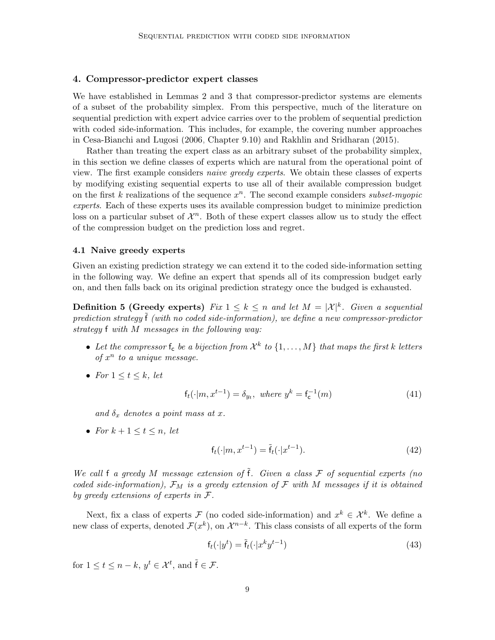### <span id="page-8-1"></span>4. Compressor-predictor expert classes

We have established in Lemmas [2](#page-5-2) and [3](#page-5-5) that compressor-predictor systems are elements of a subset of the probability simplex. From this perspective, much of the literature on sequential prediction with expert advice carries over to the problem of sequential prediction with coded side-information. This includes, for example, the covering number approaches in [Cesa-Bianchi and Lugosi](#page-15-0) [\(2006,](#page-15-0) Chapter 9.10) and [Rakhlin and Sridharan](#page-16-5) [\(2015\)](#page-16-5).

Rather than treating the expert class as an arbitrary subset of the probability simplex, in this section we define classes of experts which are natural from the operational point of view. The first example considers naive greedy experts. We obtain these classes of experts by modifying existing sequential experts to use all of their available compression budget on the first k realizations of the sequence  $x^n$ . The second example considers *subset-myopic* experts. Each of these experts uses its available compression budget to minimize prediction loss on a particular subset of  $\mathcal{X}^n$ . Both of these expert classes allow us to study the effect of the compression budget on the prediction loss and regret.

#### 4.1 Naive greedy experts

Given an existing prediction strategy we can extend it to the coded side-information setting in the following way. We define an expert that spends all of its compression budget early on, and then falls back on its original prediction strategy once the budged is exhausted.

**Definition 5 (Greedy experts)** Fix  $1 \leq k \leq n$  and let  $M = |\mathcal{X}|^k$ . Given a sequential prediction strategy  $\mathfrak f$  (with no coded side-information), we define a new compressor-predictor strategy f with M messages in the following way:

- Let the compressor  $f_c$  be a bijection from  $\mathcal{X}^k$  to  $\{1,\ldots,M\}$  that maps the first k letters of  $x^n$  to a unique message.
- For  $1 \leq t \leq k$ , let

$$
f_t(\cdot|m, x^{t-1}) = \delta_{y_t}, \text{ where } y^k = f_c^{-1}(m)
$$
 (41)

and  $\delta_x$  denotes a point mass at x.

• For  $k+1 \leq t \leq n$ , let

$$
f_t(\cdot|m, x^{t-1}) = \tilde{f}_t(\cdot|x^{t-1}).
$$
\n(42)

We call f a greedy M message extension of  $\tilde{f}$ . Given a class F of sequential experts (no coded side-information),  $\mathcal{F}_M$  is a greedy extension of  $\mathcal F$  with  $M$  messages if it is obtained by greedy extensions of experts in F.

Next, fix a class of experts  $\mathcal F$  (no coded side-information) and  $x^k \in \mathcal X^k$ . We define a new class of experts, denoted  $\mathcal{F}(x^k)$ , on  $\mathcal{X}^{n-k}$ . This class consists of all experts of the form

$$
\mathbf{f}_t(\cdot|\mathbf{y}^t) = \tilde{\mathbf{f}}_t(\cdot|\mathbf{x}^k \mathbf{y}^{t-1})
$$
\n(43)

<span id="page-8-0"></span>for  $1 \leq t \leq n-k$ ,  $y^t \in \mathcal{X}^t$ , and  $\tilde{\mathsf{f}} \in \mathcal{F}$ .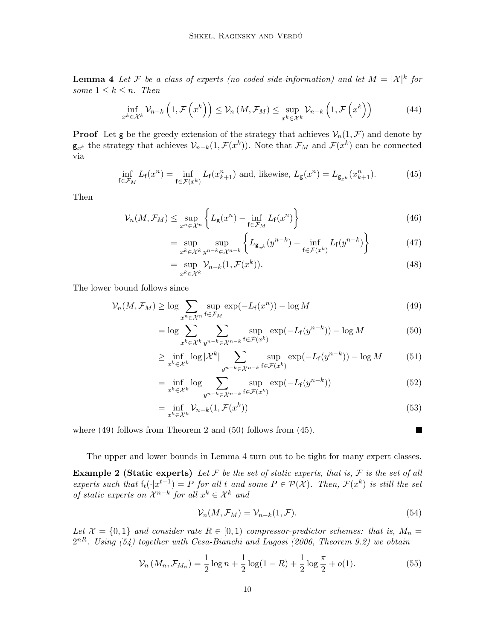**Lemma 4** Let F be a class of experts (no coded side-information) and let  $M = |\mathcal{X}|^k$  for some  $1 \leq k \leq n$ . Then

$$
\inf_{x^k \in \mathcal{X}^k} \mathcal{V}_{n-k}\left(1, \mathcal{F}\left(x^k\right)\right) \leq \mathcal{V}_n\left(M, \mathcal{F}_M\right) \leq \sup_{x^k \in \mathcal{X}^k} \mathcal{V}_{n-k}\left(1, \mathcal{F}\left(x^k\right)\right) \tag{44}
$$

**Proof** Let g be the greedy extension of the strategy that achieves  $\mathcal{V}_n(1,\mathcal{F})$  and denote by  $\mathsf{g}_{x^k}$  the strategy that achieves  $\mathcal{V}_{n-k}(1,\mathcal{F}(x^k))$ . Note that  $\mathcal{F}_M$  and  $\mathcal{F}(x^k)$  can be connected via

$$
\inf_{f \in \mathcal{F}_M} L_f(x^n) = \inf_{f \in \mathcal{F}(x^k)} L_f(x_{k+1}^n) \text{ and, likewise, } L_g(x^n) = L_{g_{x^k}}(x_{k+1}^n). \tag{45}
$$

Then

$$
\mathcal{V}_n(M, \mathcal{F}_M) \le \sup_{x^n \in \mathcal{X}^n} \left\{ L_{\mathsf{g}}(x^n) - \inf_{\mathsf{f} \in \mathcal{F}_M} L_{\mathsf{f}}(x^n) \right\} \tag{46}
$$

<span id="page-9-2"></span>
$$
= \sup_{x^k \in \mathcal{X}^k} \sup_{y^{n-k} \in \mathcal{X}^{n-k}} \left\{ L_{\mathbf{g}_{x^k}}(y^{n-k}) - \inf_{\mathbf{f} \in \mathcal{F}(x^k)} L_{\mathbf{f}}(y^{n-k}) \right\} \tag{47}
$$

$$
= \sup_{x^k \in \mathcal{X}^k} \mathcal{V}_{n-k}(1, \mathcal{F}(x^k)). \tag{48}
$$

The lower bound follows since

$$
\mathcal{V}_n(M, \mathcal{F}_M) \ge \log \sum_{x^n \in \mathcal{X}^n} \sup_{\mathbf{f} \in \mathcal{F}_M} \exp(-L_{\mathbf{f}}(x^n)) - \log M \tag{49}
$$

$$
= \log \sum_{x^k \in \mathcal{X}^k} \sum_{y^{n-k} \in \mathcal{X}^{n-k}} \sup_{f \in \mathcal{F}(x^k)} \exp(-L_f(y^{n-k})) - \log M \tag{50}
$$

$$
\geq \inf_{x^k \in \mathcal{X}^k} \log |\mathcal{X}^k| \sum_{y^{n-k} \in \mathcal{X}^{n-k}} \sup_{f \in \mathcal{F}(x^k)} \exp(-L_f(y^{n-k})) - \log M \tag{51}
$$

$$
= \inf_{x^k \in \mathcal{X}^k} \log \sum_{y^{n-k} \in \mathcal{X}^{n-k}} \sup_{\mathbf{f} \in \mathcal{F}(x^k)} \exp(-L_{\mathbf{f}}(y^{n-k})) \tag{52}
$$

$$
= \inf_{x^k \in \mathcal{X}^k} \mathcal{V}_{n-k}(1, \mathcal{F}(x^k))
$$
\n(53)

where [\(49\)](#page-9-0) follows from Theorem [2](#page-6-0) and [\(50\)](#page-9-1) follows from [\(45\)](#page-9-2).

<span id="page-9-4"></span><span id="page-9-3"></span><span id="page-9-1"></span><span id="page-9-0"></span> $\blacksquare$ 

The upper and lower bounds in Lemma [4](#page-8-0) turn out to be tight for many expert classes.

**Example 2 (Static experts)** Let  $\mathcal F$  be the set of static experts, that is,  $\mathcal F$  is the set of all experts such that  $f_t(\cdot|x^{t-1}) = P$  for all t and some  $P \in \mathcal{P}(\mathcal{X})$ . Then,  $\mathcal{F}(x^k)$  is still the set of static experts on  $\mathcal{X}^{n-k}$  for all  $x^k \in \mathcal{X}^k$  and

$$
\mathcal{V}_n(M, \mathcal{F}_M) = \mathcal{V}_{n-k}(1, \mathcal{F}).\tag{54}
$$

Let  $\mathcal{X} = \{0,1\}$  and consider rate  $R \in [0,1)$  compressor-predictor schemes: that is,  $M_n =$  $2^{nR}$ . Using [\(54\)](#page-9-3) together with [Cesa-Bianchi and Lugosi](#page-15-0) [\(2006,](#page-15-0) Theorem 9.2) we obtain

$$
\mathcal{V}_n\left(M_n, \mathcal{F}_{M_n}\right) = \frac{1}{2}\log n + \frac{1}{2}\log(1 - R) + \frac{1}{2}\log\frac{\pi}{2} + o(1). \tag{55}
$$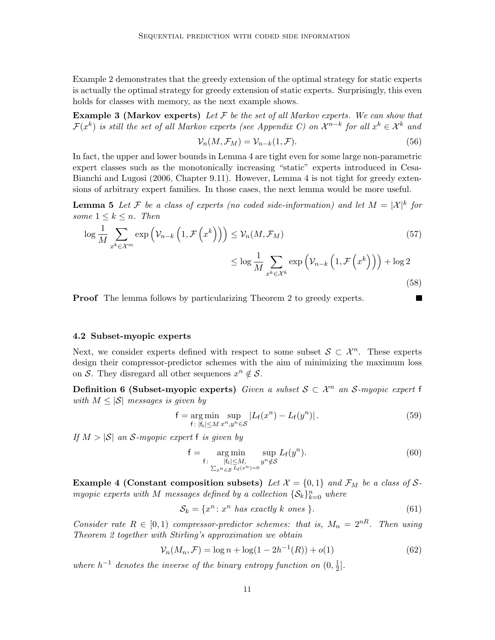Example [2](#page-9-4) demonstrates that the greedy extension of the optimal strategy for static experts is actually the optimal strategy for greedy extension of static experts. Surprisingly, this even holds for classes with memory, as the next example shows.

**Example 3 (Markov experts)** Let  $F$  be the set of all Markov experts. We can show that  $\mathcal{F}(x^k)$  is still the set of all Markov experts (see Appendix [C\)](#page-5-6) on  $\mathcal{X}^{n-k}$  for all  $x^k \in \mathcal{X}^k$  and

<span id="page-10-0"></span>
$$
\mathcal{V}_n(M, \mathcal{F}_M) = \mathcal{V}_{n-k}(1, \mathcal{F}).\tag{56}
$$

In fact, the upper and lower bounds in Lemma [4](#page-8-0) are tight even for some large non-parametric expert classes such as the monotonically increasing "static" experts introduced in [Cesa-](#page-15-0)[Bianchi and Lugosi](#page-15-0) [\(2006,](#page-15-0) Chapter 9.11). However, Lemma [4](#page-8-0) is not tight for greedy extensions of arbitrary expert families. In those cases, the next lemma would be more useful.

**Lemma 5** Let F be a class of experts (no coded side-information) and let  $M = |\mathcal{X}|^k$  for some  $1 \leq k \leq n$ . Then

$$
\log \frac{1}{M} \sum_{x^k \in \mathcal{X}^m} \exp \left( \mathcal{V}_{n-k} \left( 1, \mathcal{F} \left( x^k \right) \right) \right) \leq \mathcal{V}_n(M, \mathcal{F}_M) \tag{57}
$$
\n
$$
\leq \log \frac{1}{M} \sum_{x^k \in \mathcal{X}^k} \exp \left( \mathcal{V}_{n-k} \left( 1, \mathcal{F} \left( x^k \right) \right) \right) + \log 2 \tag{58}
$$

Proof The lemma follows by particularizing Theorem [2](#page-6-0) to greedy experts.

#### 4.2 Subset-myopic experts

Next, we consider experts defined with respect to some subset  $\mathcal{S} \subset \mathcal{X}^n$ . These experts design their compressor-predictor schemes with the aim of minimizing the maximum loss on S. They disregard all other sequences  $x^n \notin S$ .

**Definition 6 (Subset-myopic experts)** Given a subset  $S \subset \mathcal{X}^n$  an S-myopic expert f with  $M \leq |\mathcal{S}|$  messages is given by

$$
\mathsf{f} = \underset{\mathsf{f}: \ |\mathsf{f}_{\mathsf{c}}| \le M}{\arg \min} \underset{x^n, y^n \in \mathcal{S}}{\sup} |L_{\mathsf{f}}(x^n) - L_{\mathsf{f}}(y^n)|. \tag{59}
$$

If  $M > |\mathcal{S}|$  an S-myopic expert f is given by

$$
\mathsf{f} = \underset{\mathsf{f}: \sum_{x^n \in \mathcal{S}} L_{\mathsf{f}}(x^n) = 0}{\arg \min} \underset{y^n \notin \mathcal{S}}{\sup} L_{\mathsf{f}}(y^n). \tag{60}
$$

**Example 4 (Constant composition subsets)** Let  $\mathcal{X} = \{0, 1\}$  and  $\mathcal{F}_M$  be a class of Smyopic experts with M messages defined by a collection  $\{S_k\}_{k=0}^n$  where

$$
S_k = \{x^n : x^n \text{ has exactly } k \text{ ones } \}. \tag{61}
$$

Consider rate  $R \in [0, 1)$  compressor-predictor schemes: that is,  $M_n = 2^{nR}$ . Then using Theorem [2](#page-6-0) together with Stirling's approximation we obtain

$$
\mathcal{V}_n(M_n, \mathcal{F}) = \log n + \log(1 - 2h^{-1}(R)) + o(1)
$$
\n(62)

where  $h^{-1}$  denotes the inverse of the binary entropy function on  $(0, \frac{1}{2})$  $\frac{1}{2}$ .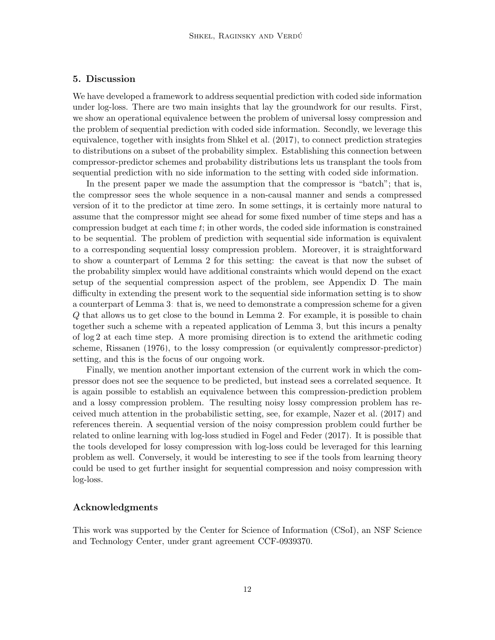## <span id="page-11-0"></span>5. Discussion

We have developed a framework to address sequential prediction with coded side information under log-loss. There are two main insights that lay the groundwork for our results. First, we show an operational equivalence between the problem of universal lossy compression and the problem of sequential prediction with coded side information. Secondly, we leverage this equivalence, together with insights from [Shkel et al.](#page-16-2) [\(2017\)](#page-16-2), to connect prediction strategies to distributions on a subset of the probability simplex. Establishing this connection between compressor-predictor schemes and probability distributions lets us transplant the tools from sequential prediction with no side information to the setting with coded side information.

In the present paper we made the assumption that the compressor is "batch"; that is, the compressor sees the whole sequence in a non-causal manner and sends a compressed version of it to the predictor at time zero. In some settings, it is certainly more natural to assume that the compressor might see ahead for some fixed number of time steps and has a compression budget at each time  $t$ ; in other words, the coded side information is constrained to be sequential. The problem of prediction with sequential side information is equivalent to a corresponding sequential lossy compression problem. Moreover, it is straightforward to show a counterpart of Lemma [2](#page-5-2) for this setting: the caveat is that now the subset of the probability simplex would have additional constraints which would depend on the exact setup of the sequential compression aspect of the problem, see Appendix [D.](#page-8-1) The main difficulty in extending the present work to the sequential side information setting is to show a counterpart of Lemma [3:](#page-5-5) that is, we need to demonstrate a compression scheme for a given Q that allows us to get close to the bound in Lemma [2.](#page-5-2) For example, it is possible to chain together such a scheme with a repeated application of Lemma [3,](#page-5-5) but this incurs a penalty of log 2 at each time step. A more promising direction is to extend the arithmetic coding scheme, [Rissanen](#page-16-6) [\(1976\)](#page-16-6), to the lossy compression (or equivalently compressor-predictor) setting, and this is the focus of our ongoing work.

Finally, we mention another important extension of the current work in which the compressor does not see the sequence to be predicted, but instead sees a correlated sequence. It is again possible to establish an equivalence between this compression-prediction problem and a lossy compression problem. The resulting noisy lossy compression problem has received much attention in the probabilistic setting, see, for example, [Nazer et al.](#page-16-7) [\(2017\)](#page-16-7) and references therein. A sequential version of the noisy compression problem could further be related to online learning with log-loss studied in [Fogel and Feder](#page-15-1) [\(2017\)](#page-15-1). It is possible that the tools developed for lossy compression with log-loss could be leveraged for this learning problem as well. Conversely, it would be interesting to see if the tools from learning theory could be used to get further insight for sequential compression and noisy compression with log-loss.

## Acknowledgments

This work was supported by the Center for Science of Information (CSoI), an NSF Science and Technology Center, under grant agreement CCF-0939370.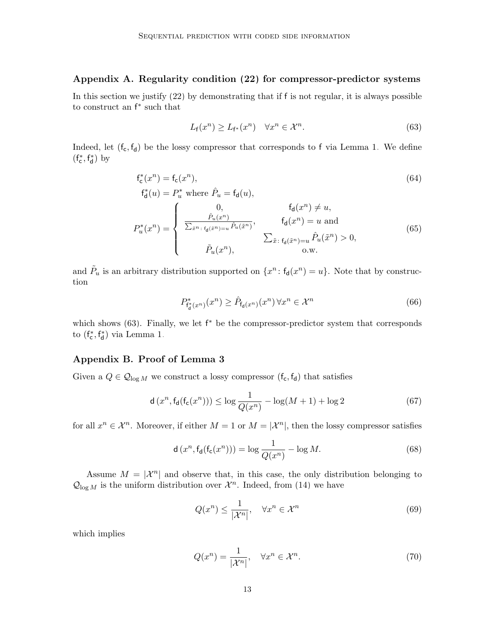## Appendix A. Regularity condition [\(22\)](#page-5-0) for compressor-predictor systems

In this section we justify [\(22\)](#page-5-0) by demonstrating that if f is not regular, it is always possible to construct an f ∗ such that

<span id="page-12-0"></span>
$$
L_{\mathsf{f}}(x^n) \ge L_{\mathsf{f}^*}(x^n) \quad \forall x^n \in \mathcal{X}^n. \tag{63}
$$

Indeed, let  $(f_c, f_d)$  be the lossy compressor that corresponds to f via Lemma [1.](#page-2-2) We define  $(f^*_{\mathsf{c}},f^*_{\mathsf{d}})$  by

$$
\mathbf{f}_{\mathsf{c}}^*(x^n) = \mathbf{f}_{\mathsf{c}}(x^n),
$$
  
\n
$$
\mathbf{f}_{\mathsf{d}}^*(u) = P_u^* \text{ where } \hat{P}_u = \mathbf{f}_{\mathsf{d}}(u),
$$
\n(64)

$$
P_u^*(x^n) = \begin{cases} 0, & \mathfrak{f}_d(x^n) \neq u, \\ \frac{\hat{P}_u(x^n)}{\sum_{\tilde{x}^n : \mathfrak{f}_d(\tilde{x}^n) = u} \hat{P}_u(\tilde{x}^n)}, & \mathfrak{f}_d(x^n) = u \text{ and} \\ \hat{P}_u(x^n), & \sum_{\tilde{x} : \mathfrak{f}_d(\tilde{x}^n) = u} \hat{P}_u(\tilde{x}^n) > 0, \\ 0. \text{w.} \end{cases} \tag{65}
$$

and  $\tilde{P}_u$  is an arbitrary distribution supported on  $\{x^n : f_d(x^n) = u\}$ . Note that by construction

$$
P_{\mathbf{f_d}^*(x^n)}^*(x^n) \ge \hat{P}_{\mathbf{f_d}(x^n)}(x^n) \,\forall x^n \in \mathcal{X}^n \tag{66}
$$

which shows [\(63\)](#page-12-0). Finally, we let  $f^*$  be the compressor-predictor system that corresponds to  $(f_{\mathsf{c}}^*, f_{\mathsf{d}}^*)$  via Lemma [1.](#page-2-2)

## Appendix B. Proof of Lemma [3](#page-5-5)

Given a  $Q \in \mathcal{Q}_{\log M}$  we construct a lossy compressor  $(\mathsf{f}_\mathsf{c}, \mathsf{f}_\mathsf{d})$  that satisfies

$$
d(x^n, f_d(f_c(x^n))) \le \log \frac{1}{Q(x^n)} - \log(M+1) + \log 2
$$
 (67)

for all  $x^n \in \mathcal{X}^n$ . Moreover, if either  $M = 1$  or  $M = |\mathcal{X}^n|$ , then the lossy compressor satisfies

$$
\mathsf{d}\left(x^{n},\mathsf{f}_{\mathsf{d}}(\mathsf{f}_{\mathsf{c}}(x^{n}))\right) = \log \frac{1}{Q(x^{n})} - \log M. \tag{68}
$$

Assume  $M = |\mathcal{X}^n|$  and observe that, in this case, the only distribution belonging to  $\mathcal{Q}_{\log M}$  is the uniform distribution over  $\mathcal{X}^n$ . Indeed, from [\(14\)](#page-3-0) we have

<span id="page-12-2"></span><span id="page-12-1"></span>
$$
Q(x^n) \le \frac{1}{|\mathcal{X}^n|}, \quad \forall x^n \in \mathcal{X}^n \tag{69}
$$

which implies

$$
Q(x^n) = \frac{1}{|\mathcal{X}^n|}, \quad \forall x^n \in \mathcal{X}^n.
$$
 (70)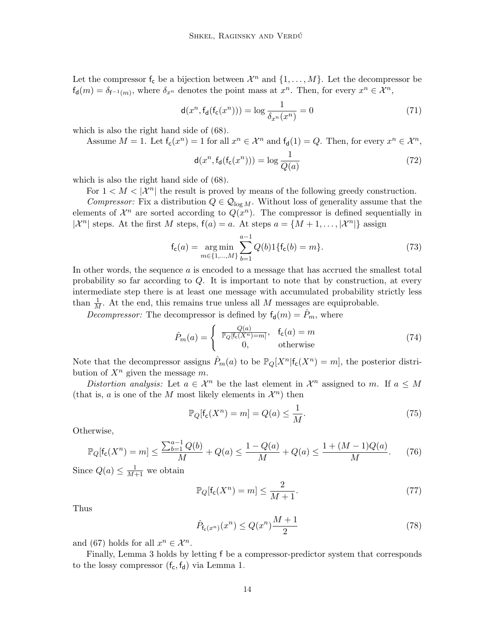Let the compressor  $f_c$  be a bijection between  $\mathcal{X}^n$  and  $\{1,\ldots,M\}$ . Let the decompressor be  $f_d(m) = \delta_{f^{-1}(m)}$ , where  $\delta_{x^n}$  denotes the point mass at  $x^n$ . Then, for every  $x^n \in \mathcal{X}^n$ ,

$$
\mathsf{d}(x^n, \mathsf{f}_{\mathsf{d}}(\mathsf{f}_{\mathsf{c}}(x^n))) = \log \frac{1}{\delta_{x^n}(x^n)} = 0 \tag{71}
$$

which is also the right hand side of [\(68\)](#page-12-1).

Assume 
$$
M = 1
$$
. Let  $f_c(x^n) = 1$  for all  $x^n \in \mathcal{X}^n$  and  $f_d(1) = Q$ . Then, for every  $x^n \in \mathcal{X}^n$ ,

$$
\mathsf{d}(x^n, \mathsf{f}_{\mathsf{d}}(\mathsf{f}_{\mathsf{c}}(x^n))) = \log \frac{1}{Q(a)}\tag{72}
$$

which is also the right hand side of [\(68\)](#page-12-1).

For  $1 < M < |\mathcal{X}^n|$  the result is proved by means of the following greedy construction.

Compressor: Fix a distribution  $Q \in \mathcal{Q}_{\log M}$ . Without loss of generality assume that the elements of  $\mathcal{X}^n$  are sorted according to  $Q(x^n)$ . The compressor is defined sequentially in  $|\mathcal{X}^n|$  steps. At the first M steps,  $f(a) = a$ . At steps  $a = \{M + 1, \ldots, |\mathcal{X}^n|\}$  assign

$$
f_c(a) = \underset{m \in \{1, \dots, M\}}{\arg \min} \sum_{b=1}^{a-1} Q(b) 1\{f_c(b) = m\}.
$$
 (73)

In other words, the sequence a is encoded to a message that has accrued the smallest total probability so far according to Q. It is important to note that by construction, at every intermediate step there is at least one message with accumulated probability strictly less than  $\frac{1}{M}$ . At the end, this remains true unless all M messages are equiprobable.

*Decompressor:* The decompressor is defined by  $f_d(m) = P_m$ , where

$$
\hat{P}_m(a) = \begin{cases}\n\frac{Q(a)}{\mathbb{P}_Q[\mathsf{f}_c(X^n) = m]}, & \mathsf{f}_c(a) = m \\
0, & \text{otherwise}\n\end{cases}
$$
\n(74)

Note that the decompressor assigns  $\hat{P}_m(a)$  to be  $\mathbb{P}_Q[X^n | f_c(X^n) = m]$ , the posterior distribution of  $X^n$  given the message m.

Distortion analysis: Let  $a \in \mathcal{X}^n$  be the last element in  $\mathcal{X}^n$  assigned to m. If  $a \leq M$ (that is, a is one of the M most likely elements in  $\mathcal{X}^n$ ) then

$$
\mathbb{P}_Q[\mathsf{f}_\mathsf{c}(X^n) = m] = Q(a) \le \frac{1}{M}.\tag{75}
$$

Otherwise,

$$
\mathbb{P}_Q[\mathsf{f}_\mathsf{c}(X^n) = m] \le \frac{\sum_{b=1}^{a-1} Q(b)}{M} + Q(a) \le \frac{1 - Q(a)}{M} + Q(a) \le \frac{1 + (M - 1)Q(a)}{M}.\tag{76}
$$

Since  $Q(a) \leq \frac{1}{M+1}$  we obtain

$$
\mathbb{P}_Q[\mathsf{f}_\mathsf{c}(X^n) = m] \le \frac{2}{M+1}.\tag{77}
$$

Thus

$$
\hat{P}_{f_c(x^n)}(x^n) \le Q(x^n) \frac{M+1}{2} \tag{78}
$$

and [\(67\)](#page-12-2) holds for all  $x^n \in \mathcal{X}^n$ .

Finally, Lemma [3](#page-5-5) holds by letting f be a compressor-predictor system that corresponds to the lossy compressor  $(f_c, f_d)$  via Lemma [1.](#page-2-2)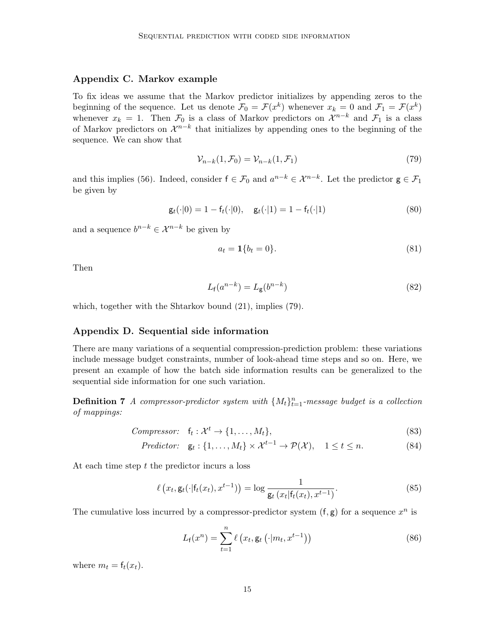## Appendix C. Markov example

To fix ideas we assume that the Markov predictor initializes by appending zeros to the beginning of the sequence. Let us denote  $\mathcal{F}_0 = \mathcal{F}(x^k)$  whenever  $x_k = 0$  and  $\mathcal{F}_1 = \mathcal{F}(x^k)$ whenever  $x_k = 1$ . Then  $\mathcal{F}_0$  is a class of Markov predictors on  $\mathcal{X}^{n-k}$  and  $\mathcal{F}_1$  is a class of Markov predictors on  $\mathcal{X}^{n-k}$  that initializes by appending ones to the beginning of the sequence. We can show that

<span id="page-14-0"></span>
$$
\mathcal{V}_{n-k}(1,\mathcal{F}_0) = \mathcal{V}_{n-k}(1,\mathcal{F}_1)
$$
\n<sup>(79)</sup>

and this implies [\(56\)](#page-10-0). Indeed, consider  $f \in \mathcal{F}_0$  and  $a^{n-k} \in \mathcal{X}^{n-k}$ . Let the predictor  $g \in \mathcal{F}_1$ be given by

$$
\mathsf{g}_t(\cdot|0) = 1 - \mathsf{f}_t(\cdot|0), \quad \mathsf{g}_t(\cdot|1) = 1 - \mathsf{f}_t(\cdot|1) \tag{80}
$$

and a sequence  $b^{n-k} \in \mathcal{X}^{n-k}$  be given by

$$
a_t = \mathbf{1} \{ b_t = 0 \}. \tag{81}
$$

Then

$$
L_f(a^{n-k}) = L_g(b^{n-k})
$$
\n(82)

which, together with the Shtarkov bound [\(21\)](#page-4-3), implies [\(79\)](#page-14-0).

## Appendix D. Sequential side information

There are many variations of a sequential compression-prediction problem: these variations include message budget constraints, number of look-ahead time steps and so on. Here, we present an example of how the batch side information results can be generalized to the sequential side information for one such variation.

**Definition 7** A compressor-predictor system with  $\{M_t\}_{t=1}^n$ -message budget is a collection of mappings:

*Compresor:* 
$$
f_t: \mathcal{X}^t \to \{1, ..., M_t\},
$$
 (83)

$$
Predictor: \quad \mathsf{g}_t: \{1, \ldots, M_t\} \times \mathcal{X}^{t-1} \to \mathcal{P}(\mathcal{X}), \quad 1 \le t \le n. \tag{84}
$$

At each time step  $t$  the predictor incurs a loss

$$
\ell\left(x_t, \mathbf{g}_t(\cdot | \mathbf{f}_t(x_t), x^{t-1})\right) = \log \frac{1}{\mathbf{g}_t\left(x_t | \mathbf{f}_t(x_t), x^{t-1}\right)}.\tag{85}
$$

The cumulative loss incurred by a compressor-predictor system  $(f, g)$  for a sequence  $x^n$  is

$$
L_{\mathsf{f}}(x^n) = \sum_{t=1}^n \ell\left(x_t, \mathsf{g}_t\left(\cdot | m_t, x^{t-1}\right)\right) \tag{86}
$$

where  $m_t = f_t(x_t)$ .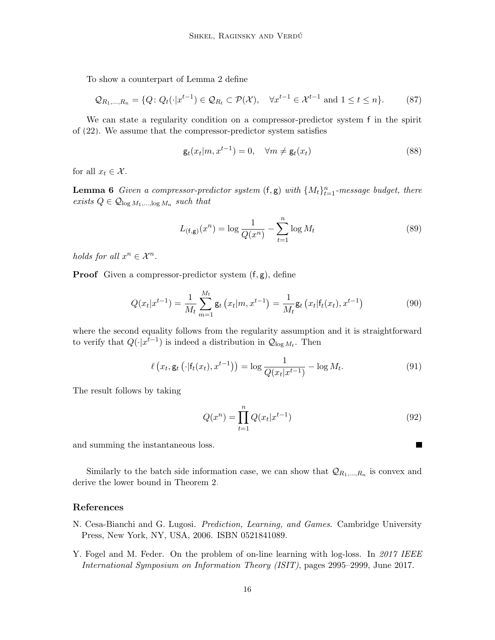To show a counterpart of Lemma [2](#page-5-2) define

$$
\mathcal{Q}_{R_1,\ldots,R_n} = \{Q \colon Q_t(\cdot | x^{t-1}) \in \mathcal{Q}_{R_t} \subset \mathcal{P}(\mathcal{X}), \quad \forall x^{t-1} \in \mathcal{X}^{t-1} \text{ and } 1 \le t \le n\}.
$$
 (87)

We can state a regularity condition on a compressor-predictor system f in the spirit of [\(22\)](#page-5-0). We assume that the compressor-predictor system satisfies

$$
\mathsf{g}_t(x_t|m, x^{t-1}) = 0, \quad \forall m \neq \mathsf{g}_t(x_t)
$$
\n
$$
(88)
$$

for all  $x_t \in \mathcal{X}$ .

**Lemma 6** Given a compressor-predictor system  $(f, g)$  with  $\{M_t\}_{t=1}^n$ -message budget, there exists  $Q \in \mathcal{Q}_{\log M_1, \dots, \log M_n}$  such that

$$
L_{(\mathbf{f}, \mathbf{g})}(x^n) = \log \frac{1}{Q(x^n)} - \sum_{t=1}^n \log M_t
$$
 (89)

holds for all  $x^n \in \mathcal{X}^n$ .

**Proof** Given a compressor-predictor system  $(f, g)$ , define

$$
Q(x_t|x^{t-1}) = \frac{1}{M_t} \sum_{m=1}^{M_t} \mathbf{g}_t(x_t|m, x^{t-1}) = \frac{1}{M_t} \mathbf{g}_t(x_t|\mathbf{f}_t(x_t), x^{t-1})
$$
(90)

where the second equality follows from the regularity assumption and it is straightforward to verify that  $Q(\cdot|x^{t-1})$  is indeed a distribution in  $\mathcal{Q}_{\log M_t}$ . Then

$$
\ell\left(x_t, \mathsf{g}_t\left(\cdot|\mathsf{f}_t(x_t), x^{t-1}\right)\right) = \log \frac{1}{Q(x_t|x^{t-1})} - \log M_t. \tag{91}
$$

The result follows by taking

$$
Q(x^n) = \prod_{t=1}^n Q(x_t | x^{t-1})
$$
\n(92)

 $\blacksquare$ 

and summing the instantaneous loss.

Similarly to the batch side information case, we can show that  $\mathcal{Q}_{R_1,\dots,R_n}$  is convex and derive the lower bound in Theorem [2.](#page-6-0)

## References

- <span id="page-15-0"></span>N. Cesa-Bianchi and G. Lugosi. Prediction, Learning, and Games. Cambridge University Press, New York, NY, USA, 2006. ISBN 0521841089.
- <span id="page-15-1"></span>Y. Fogel and M. Feder. On the problem of on-line learning with log-loss. In 2017 IEEE International Symposium on Information Theory (ISIT), pages 2995–2999, June 2017.